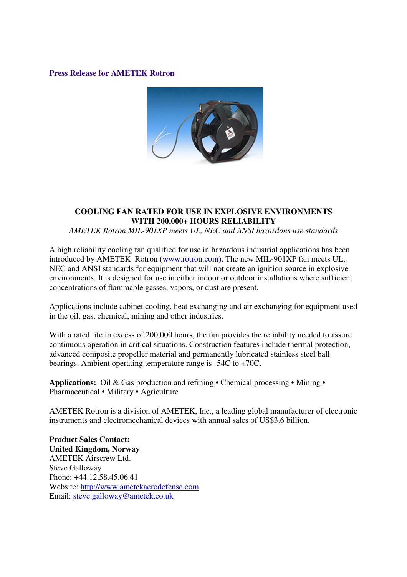#### **Press Release for AMETEK Rotron**



# **COOLING FAN RATED FOR USE IN EXPLOSIVE ENVIRONMENTS WITH 200,000+ HOURS RELIABILITY**

*AMETEK Rotron MIL-901XP meets UL, NEC and ANSI hazardous use standards*

A high reliability cooling fan qualified for use in hazardous industrial applications has been introduced by AMETEK Rotron (www.rotron.com). The new MIL-901XP fan meets UL, NEC and ANSI standards for equipment that will not create an ignition source in explosive environments. It is designed for use in either indoor or outdoor installations where sufficient concentrations of flammable gasses, vapors, or dust are present.

Applications include cabinet cooling, heat exchanging and air exchanging for equipment used in the oil, gas, chemical, mining and other industries.

With a rated life in excess of 200,000 hours, the fan provides the reliability needed to assure continuous operation in critical situations. Construction features include thermal protection, advanced composite propeller material and permanently lubricated stainless steel ball bearings. Ambient operating temperature range is -54C to +70C.

**Applications:** Oil & Gas production and refining • Chemical processing • Mining • Pharmaceutical • Military • Agriculture

AMETEK Rotron is a division of AMETEK, Inc., a leading global manufacturer of electronic instruments and electromechanical devices with annual sales of US\$3.6 billion.

**Product Sales Contact: United Kingdom, Norway** AMETEK Airscrew Ltd. Steve Galloway Phone: +44.12.58.45.06.41 Website: http://www.ametekaerodefense.com Email: steve.galloway@ametek.co.uk